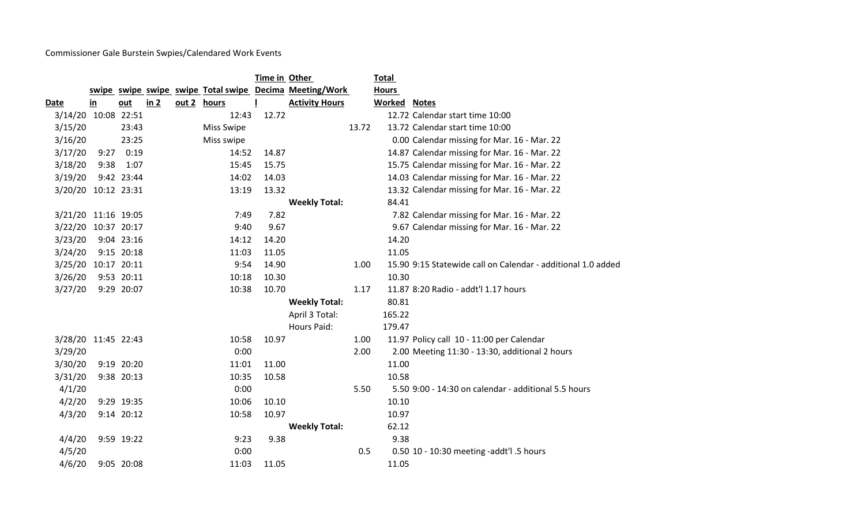Commissioner Gale Burstein Swpies/Calendared Work Events

|                     |               |             |      |                   | Time in Other |                                                         |       | <b>Total</b>        |                                                              |
|---------------------|---------------|-------------|------|-------------------|---------------|---------------------------------------------------------|-------|---------------------|--------------------------------------------------------------|
|                     |               |             |      |                   |               | swipe swipe swipe swipe Total swipe Decima Meeting/Work |       | <b>Hours</b>        |                                                              |
| <b>Date</b>         | $\mathbf{in}$ | out         | in 2 | out 2 hours       |               | <b>Activity Hours</b>                                   |       | <b>Worked Notes</b> |                                                              |
| 3/14/20             |               | 10:08 22:51 |      | 12:43             | 12.72         |                                                         |       |                     | 12.72 Calendar start time 10:00                              |
| 3/15/20             |               | 23:43       |      | <b>Miss Swipe</b> |               |                                                         | 13.72 |                     | 13.72 Calendar start time 10:00                              |
| 3/16/20             |               | 23:25       |      | Miss swipe        |               |                                                         |       |                     | 0.00 Calendar missing for Mar. 16 - Mar. 22                  |
| 3/17/20             | 9:27          | 0:19        |      | 14:52             | 14.87         |                                                         |       |                     | 14.87 Calendar missing for Mar. 16 - Mar. 22                 |
| 3/18/20             | 9:38          | 1:07        |      | 15:45             | 15.75         |                                                         |       |                     | 15.75 Calendar missing for Mar. 16 - Mar. 22                 |
| 3/19/20             |               | 9:42 23:44  |      | 14:02             | 14.03         |                                                         |       |                     | 14.03 Calendar missing for Mar. 16 - Mar. 22                 |
| 3/20/20 10:12 23:31 |               |             |      | 13:19             | 13.32         |                                                         |       |                     | 13.32 Calendar missing for Mar. 16 - Mar. 22                 |
|                     |               |             |      |                   |               | <b>Weekly Total:</b>                                    |       | 84.41               |                                                              |
| 3/21/20 11:16 19:05 |               |             |      | 7:49              | 7.82          |                                                         |       |                     | 7.82 Calendar missing for Mar. 16 - Mar. 22                  |
| 3/22/20 10:37 20:17 |               |             |      | 9:40              | 9.67          |                                                         |       |                     | 9.67 Calendar missing for Mar. 16 - Mar. 22                  |
| 3/23/20             |               | 9:04 23:16  |      | 14:12             | 14.20         |                                                         |       | 14.20               |                                                              |
| 3/24/20             |               | 9:15 20:18  |      | 11:03             | 11.05         |                                                         |       | 11.05               |                                                              |
| 3/25/20             |               | 10:17 20:11 |      | 9:54              | 14.90         |                                                         | 1.00  |                     | 15.90 9:15 Statewide call on Calendar - additional 1.0 added |
| 3/26/20             |               | 9:53 20:11  |      | 10:18             | 10.30         |                                                         |       | 10.30               |                                                              |
| 3/27/20             |               | 9:29 20:07  |      | 10:38             | 10.70         |                                                         | 1.17  |                     | 11.87 8:20 Radio - addt'l 1.17 hours                         |
|                     |               |             |      |                   |               | <b>Weekly Total:</b>                                    |       | 80.81               |                                                              |
|                     |               |             |      |                   |               | April 3 Total:                                          |       | 165.22              |                                                              |
|                     |               |             |      |                   |               | Hours Paid:                                             |       | 179.47              |                                                              |
| 3/28/20 11:45 22:43 |               |             |      | 10:58             | 10.97         |                                                         | 1.00  |                     | 11.97 Policy call 10 - 11:00 per Calendar                    |
| 3/29/20             |               |             |      | 0:00              |               |                                                         | 2.00  |                     | 2.00 Meeting 11:30 - 13:30, additional 2 hours               |
| 3/30/20             |               | 9:19 20:20  |      | 11:01             | 11.00         |                                                         |       | 11.00               |                                                              |
| 3/31/20             |               | 9:38 20:13  |      | 10:35             | 10.58         |                                                         |       | 10.58               |                                                              |
| 4/1/20              |               |             |      | 0:00              |               |                                                         | 5.50  |                     | 5.50 9:00 - 14:30 on calendar - additional 5.5 hours         |
| 4/2/20              |               | 9:29 19:35  |      | 10:06             | 10.10         |                                                         |       | 10.10               |                                                              |
| 4/3/20              |               | 9:14 20:12  |      | 10:58             | 10.97         |                                                         |       | 10.97               |                                                              |
|                     |               |             |      |                   |               | <b>Weekly Total:</b>                                    |       | 62.12               |                                                              |
| 4/4/20              |               | 9:59 19:22  |      | 9:23              | 9.38          |                                                         |       | 9.38                |                                                              |
| 4/5/20              |               |             |      | 0:00              |               |                                                         | 0.5   |                     | 0.50 10 - 10:30 meeting -addt'l .5 hours                     |
| 4/6/20              |               | 9:05 20:08  |      | 11:03             | 11.05         |                                                         |       | 11.05               |                                                              |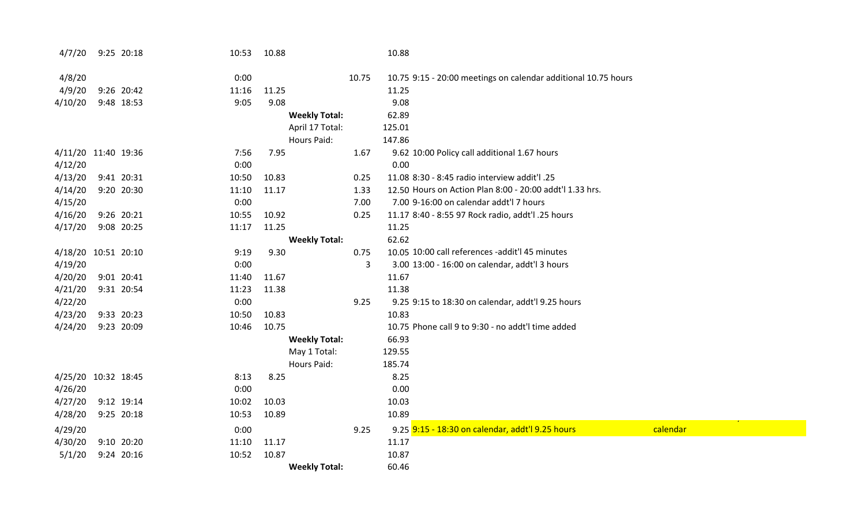| 4/7/20              | 9:25 20:18 | 10:53 | 10.88                |       | 10.88                                                          |          |
|---------------------|------------|-------|----------------------|-------|----------------------------------------------------------------|----------|
| 4/8/20              |            | 0:00  |                      | 10.75 | 10.75 9:15 - 20:00 meetings on calendar additional 10.75 hours |          |
| 4/9/20              | 9:26 20:42 | 11:16 | 11.25                |       | 11.25                                                          |          |
| 4/10/20             | 9:48 18:53 | 9:05  | 9.08                 |       | 9.08                                                           |          |
|                     |            |       | <b>Weekly Total:</b> |       | 62.89                                                          |          |
|                     |            |       | April 17 Total:      |       | 125.01                                                         |          |
|                     |            |       | <b>Hours Paid:</b>   |       | 147.86                                                         |          |
| 4/11/20 11:40 19:36 |            | 7:56  | 7.95                 | 1.67  | 9.62 10:00 Policy call additional 1.67 hours                   |          |
| 4/12/20             |            | 0:00  |                      |       | 0.00                                                           |          |
| 4/13/20             | 9:41 20:31 | 10:50 | 10.83                | 0.25  | 11.08 8:30 - 8:45 radio interview addit'l .25                  |          |
| 4/14/20             | 9:20 20:30 | 11:10 | 11.17                | 1.33  | 12.50 Hours on Action Plan 8:00 - 20:00 addt'l 1.33 hrs.       |          |
| 4/15/20             |            | 0:00  |                      | 7.00  | 7.00 9-16:00 on calendar addt'l 7 hours                        |          |
| 4/16/20             | 9:26 20:21 | 10:55 | 10.92                | 0.25  | 11.17 8:40 - 8:55 97 Rock radio, addt'l .25 hours              |          |
| 4/17/20             | 9:08 20:25 | 11:17 | 11.25                |       | 11.25                                                          |          |
|                     |            |       | <b>Weekly Total:</b> |       | 62.62                                                          |          |
| 4/18/20 10:51 20:10 |            | 9:19  | 9.30                 | 0.75  | 10.05 10:00 call references -addit'l 45 minutes                |          |
| 4/19/20             |            | 0:00  |                      | 3     | 3.00 13:00 - 16:00 on calendar, addt'l 3 hours                 |          |
| 4/20/20             | 9:01 20:41 | 11:40 | 11.67                |       | 11.67                                                          |          |
| 4/21/20             | 9:31 20:54 | 11:23 | 11.38                |       | 11.38                                                          |          |
| 4/22/20             |            | 0:00  |                      | 9.25  | 9.25 9:15 to 18:30 on calendar, addt'l 9.25 hours              |          |
| 4/23/20             | 9:33 20:23 | 10:50 | 10.83                |       | 10.83                                                          |          |
| 4/24/20             | 9:23 20:09 | 10:46 | 10.75                |       | 10.75 Phone call 9 to 9:30 - no addt'l time added              |          |
|                     |            |       | <b>Weekly Total:</b> |       | 66.93                                                          |          |
|                     |            |       | May 1 Total:         |       | 129.55                                                         |          |
|                     |            |       | <b>Hours Paid:</b>   |       | 185.74                                                         |          |
| 4/25/20 10:32 18:45 |            | 8:13  | 8.25                 |       | 8.25                                                           |          |
| 4/26/20             |            | 0:00  |                      |       | 0.00                                                           |          |
| 4/27/20             | 9:12 19:14 | 10:02 | 10.03                |       | 10.03                                                          |          |
| 4/28/20             | 9:25 20:18 | 10:53 | 10.89                |       | 10.89                                                          |          |
| 4/29/20             |            | 0:00  |                      | 9.25  | 9.25 9:15 - 18:30 on calendar, addt'l 9.25 hours               | calendar |
| 4/30/20             | 9:10 20:20 | 11:10 | 11.17                |       | 11.17                                                          |          |
| 5/1/20              | 9:24 20:16 | 10:52 | 10.87                |       | 10.87                                                          |          |
|                     |            |       | <b>Weekly Total:</b> |       | 60.46                                                          |          |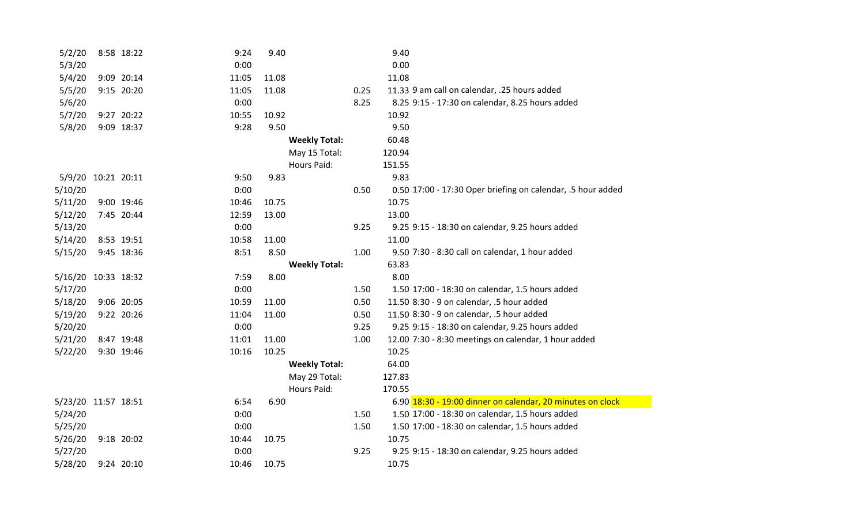| 5/2/20              | 8:58 18:22 | 9:24  | 9.40                 |      | 9.40                                                        |
|---------------------|------------|-------|----------------------|------|-------------------------------------------------------------|
| 5/3/20              |            | 0:00  |                      |      | 0.00                                                        |
| 5/4/20              | 9:09 20:14 | 11:05 | 11.08                |      | 11.08                                                       |
| 5/5/20              | 9:15 20:20 | 11:05 | 11.08                | 0.25 | 11.33 9 am call on calendar, .25 hours added                |
| 5/6/20              |            | 0:00  |                      | 8.25 | 8.25 9:15 - 17:30 on calendar, 8.25 hours added             |
| 5/7/20              | 9:27 20:22 | 10:55 | 10.92                |      | 10.92                                                       |
| 5/8/20              | 9:09 18:37 | 9:28  | 9.50                 |      | 9.50                                                        |
|                     |            |       | <b>Weekly Total:</b> |      | 60.48                                                       |
|                     |            |       | May 15 Total:        |      | 120.94                                                      |
|                     |            |       | <b>Hours Paid:</b>   |      | 151.55                                                      |
| 5/9/20 10:21 20:11  |            | 9:50  | 9.83                 |      | 9.83                                                        |
| 5/10/20             |            | 0:00  |                      | 0.50 | 0.50 17:00 - 17:30 Oper briefing on calendar, .5 hour added |
| 5/11/20             | 9:00 19:46 | 10:46 | 10.75                |      | 10.75                                                       |
| 5/12/20             | 7:45 20:44 | 12:59 | 13.00                |      | 13.00                                                       |
| 5/13/20             |            | 0:00  |                      | 9.25 | 9.25 9:15 - 18:30 on calendar, 9.25 hours added             |
| 5/14/20             | 8:53 19:51 | 10:58 | 11.00                |      | 11.00                                                       |
| 5/15/20             | 9:45 18:36 | 8:51  | 8.50                 | 1.00 | 9.50 7:30 - 8:30 call on calendar, 1 hour added             |
|                     |            |       | <b>Weekly Total:</b> |      | 63.83                                                       |
| 5/16/20 10:33 18:32 |            | 7:59  | 8.00                 |      | 8.00                                                        |
| 5/17/20             |            | 0:00  |                      | 1.50 | 1.50 17:00 - 18:30 on calendar, 1.5 hours added             |
| 5/18/20             | 9:06 20:05 | 10:59 | 11.00                | 0.50 | 11.50 8:30 - 9 on calendar, .5 hour added                   |
| 5/19/20             | 9:22 20:26 | 11:04 | 11.00                | 0.50 | 11.50 8:30 - 9 on calendar, .5 hour added                   |
| 5/20/20             |            | 0:00  |                      | 9.25 | 9.25 9:15 - 18:30 on calendar, 9.25 hours added             |
| 5/21/20             | 8:47 19:48 | 11:01 | 11.00                | 1.00 | 12.00 7:30 - 8:30 meetings on calendar, 1 hour added        |
| 5/22/20             | 9:30 19:46 | 10:16 | 10.25                |      | 10.25                                                       |
|                     |            |       | <b>Weekly Total:</b> |      | 64.00                                                       |
|                     |            |       | May 29 Total:        |      | 127.83                                                      |
|                     |            |       | <b>Hours Paid:</b>   |      | 170.55                                                      |
| 5/23/20 11:57 18:51 |            | 6:54  | 6.90                 |      | 6.90 18:30 - 19:00 dinner on calendar, 20 minutes on clock  |
| 5/24/20             |            | 0:00  |                      | 1.50 | 1.50 17:00 - 18:30 on calendar, 1.5 hours added             |
| 5/25/20             |            | 0:00  |                      | 1.50 | 1.50 17:00 - 18:30 on calendar, 1.5 hours added             |
| 5/26/20             | 9:18 20:02 | 10:44 | 10.75                |      | 10.75                                                       |
| 5/27/20             |            | 0:00  |                      | 9.25 | 9.25 9:15 - 18:30 on calendar, 9.25 hours added             |
| 5/28/20             | 9:24 20:10 | 10:46 | 10.75                |      | 10.75                                                       |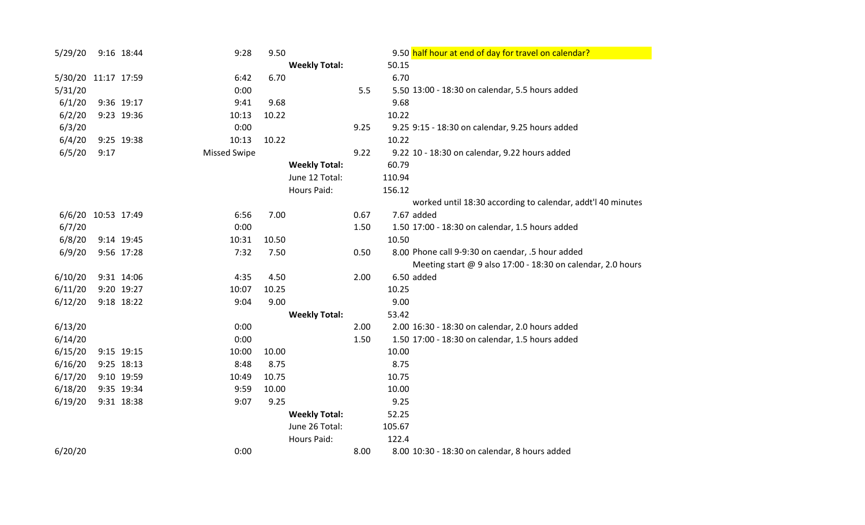| 5/29/20            |             | 9:16 18:44 | 9:28                | 9.50  |                      |      | 9.50 half hour at end of day for travel on calendar?        |
|--------------------|-------------|------------|---------------------|-------|----------------------|------|-------------------------------------------------------------|
|                    |             |            |                     |       | <b>Weekly Total:</b> |      | 50.15                                                       |
| 5/30/20            | 11:17 17:59 |            | 6:42                | 6.70  |                      |      | 6.70                                                        |
| 5/31/20            |             |            | 0:00                |       |                      | 5.5  | 5.50 13:00 - 18:30 on calendar, 5.5 hours added             |
| 6/1/20             |             | 9:36 19:17 | 9:41                | 9.68  |                      |      | 9.68                                                        |
| 6/2/20             |             | 9:23 19:36 | 10:13               | 10.22 |                      |      | 10.22                                                       |
| 6/3/20             |             |            | 0:00                |       |                      | 9.25 | 9.25 9:15 - 18:30 on calendar, 9.25 hours added             |
| 6/4/20             |             | 9:25 19:38 | 10:13               | 10.22 |                      |      | 10.22                                                       |
| 6/5/20             | 9:17        |            | <b>Missed Swipe</b> |       |                      | 9.22 | 9.22 10 - 18:30 on calendar, 9.22 hours added               |
|                    |             |            |                     |       | <b>Weekly Total:</b> |      | 60.79                                                       |
|                    |             |            |                     |       | June 12 Total:       |      | 110.94                                                      |
|                    |             |            |                     |       | <b>Hours Paid:</b>   |      | 156.12                                                      |
|                    |             |            |                     |       |                      |      | worked until 18:30 according to calendar, addt'l 40 minutes |
| 6/6/20 10:53 17:49 |             |            | 6:56                | 7.00  |                      | 0.67 | 7.67 added                                                  |
| 6/7/20             |             |            | 0:00                |       |                      | 1.50 | 1.50 17:00 - 18:30 on calendar, 1.5 hours added             |
| 6/8/20             |             | 9:14 19:45 | 10:31               | 10.50 |                      |      | 10.50                                                       |
| 6/9/20             |             | 9:56 17:28 | 7:32                | 7.50  |                      | 0.50 | 8.00 Phone call 9-9:30 on caendar, .5 hour added            |
|                    |             |            |                     |       |                      |      | Meeting start @ 9 also 17:00 - 18:30 on calendar, 2.0 hours |
| 6/10/20            |             | 9:31 14:06 | 4:35                | 4.50  |                      | 2.00 | 6.50 added                                                  |
| 6/11/20            |             | 9:20 19:27 | 10:07               | 10.25 |                      |      | 10.25                                                       |
| 6/12/20            |             | 9:18 18:22 | 9:04                | 9.00  |                      |      | 9.00                                                        |
|                    |             |            |                     |       | <b>Weekly Total:</b> |      | 53.42                                                       |
| 6/13/20            |             |            | 0:00                |       |                      | 2.00 | 2.00 16:30 - 18:30 on calendar, 2.0 hours added             |
| 6/14/20            |             |            | 0:00                |       |                      | 1.50 | 1.50 17:00 - 18:30 on calendar, 1.5 hours added             |
| 6/15/20            |             | 9:15 19:15 | 10:00               | 10.00 |                      |      | 10.00                                                       |
| 6/16/20            |             | 9:25 18:13 | 8:48                | 8.75  |                      |      | 8.75                                                        |
| 6/17/20            |             | 9:10 19:59 | 10:49               | 10.75 |                      |      | 10.75                                                       |
| 6/18/20            |             | 9:35 19:34 | 9:59                | 10.00 |                      |      | 10.00                                                       |
| 6/19/20            |             | 9:31 18:38 | 9:07                | 9.25  |                      |      | 9.25                                                        |
|                    |             |            |                     |       | <b>Weekly Total:</b> |      | 52.25                                                       |
|                    |             |            |                     |       | June 26 Total:       |      | 105.67                                                      |
|                    |             |            |                     |       | Hours Paid:          |      | 122.4                                                       |
| 6/20/20            |             |            | 0:00                |       |                      | 8.00 | 8.00 10:30 - 18:30 on calendar, 8 hours added               |